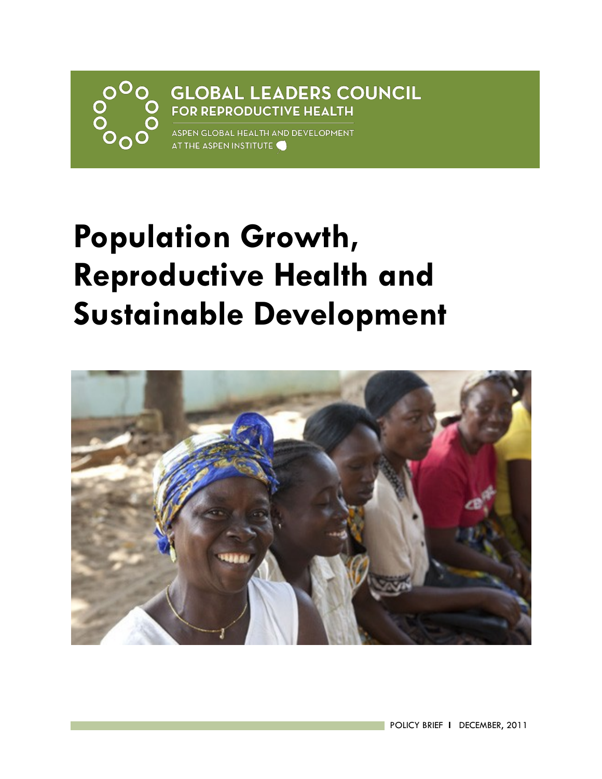# **GLOBAL LEADERS COUNCIL FOR REPRODUCTIVE HEALTH**

ASPEN GLOBAL HEALTH AND DEVELOPMENT AT THE ASPEN INSTITUTE

# **Population Growth, Reproductive Health and Sustainable Development**

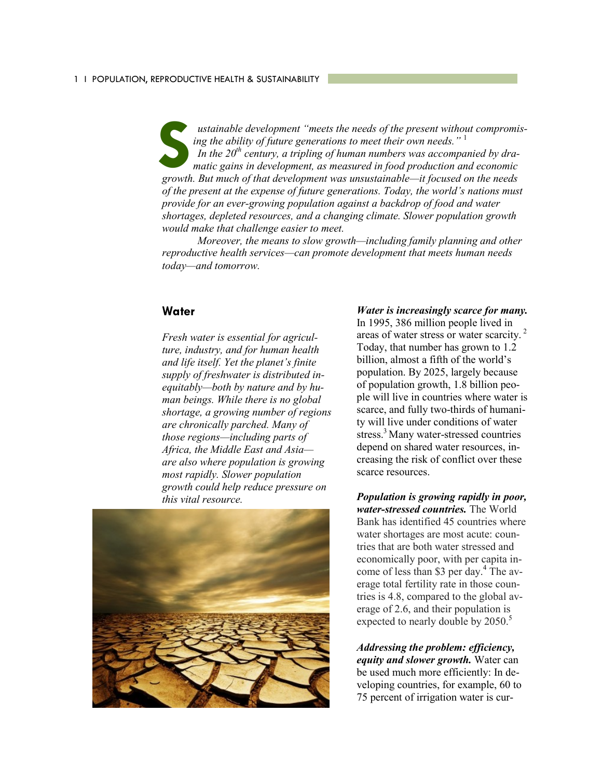*ustainable development "meets the needs of the present without compromising the ability of future generations to meet their own needs."* <sup>1</sup> *In the 20th century, a tripling of human numbers was accompanied by dramatic gains in development, as measured in food production and economic growth. But much of that development was unsustainable—it focused on the needs of the present at the expense of future generations. Today, the world's nations must provide for an ever-growing population against a backdrop of food and water shortages, depleted resources, and a changing climate. Slower population growth would make that challenge easier to meet.* **S**

*Moreover, the means to slow growth—including family planning and other reproductive health services—can promote development that meets human needs today—and tomorrow.*

#### **Water**

*Fresh water is essential for agriculture, industry, and for human health and life itself. Yet the planet's finite supply of freshwater is distributed inequitably—both by nature and by human beings. While there is no global shortage, a growing number of regions are chronically parched. Many of those regions—including parts of Africa, the Middle East and Asia are also where population is growing most rapidly. Slower population growth could help reduce pressure on this vital resource.*



#### *Water is increasingly scarce for many.*

In 1995, 386 million people lived in areas of water stress or water scarcity. <sup>2</sup> Today, that number has grown to 1.2 billion, almost a fifth of the world's population. By 2025, largely because of population growth, 1.8 billion people will live in countries where water is scarce, and fully two-thirds of humanity will live under conditions of water stress.<sup>3</sup> Many water-stressed countries depend on shared water resources, increasing the risk of conflict over these scarce resources.

*Population is growing rapidly in poor, water-stressed countries.* The World Bank has identified 45 countries where water shortages are most acute: countries that are both water stressed and economically poor, with per capita income of less than \$3 per day.<sup>4</sup> The average total fertility rate in those countries is 4.8, compared to the global average of 2.6, and their population is expected to nearly double by 2050.<sup>5</sup>

*Addressing the problem: efficiency, equity and slower growth.* Water can be used much more efficiently: In developing countries, for example, 60 to 75 percent of irrigation water is cur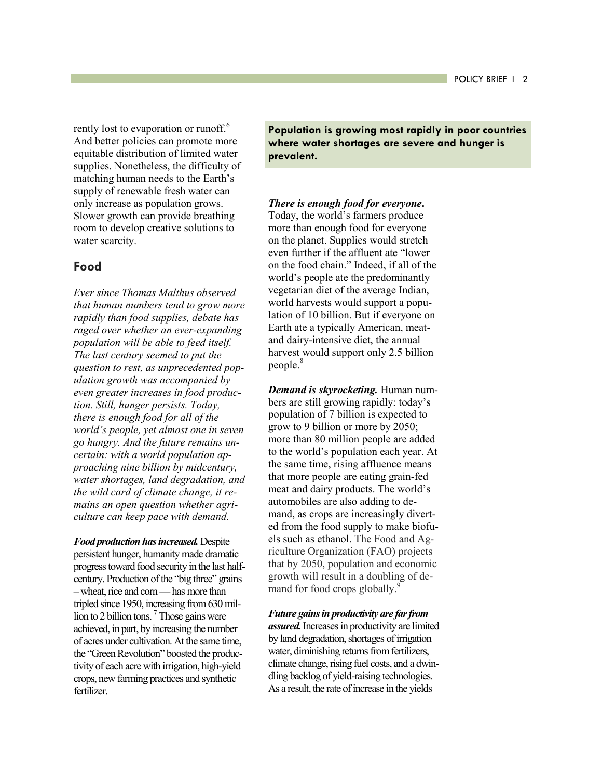rently lost to evaporation or runoff.<sup>6</sup> And better policies can promote more equitable distribution of limited water supplies. Nonetheless, the difficulty of matching human needs to the Earth's supply of renewable fresh water can only increase as population grows. Slower growth can provide breathing room to develop creative solutions to water scarcity.

## **Food**

*Ever since Thomas Malthus observed that human numbers tend to grow more rapidly than food supplies, debate has raged over whether an ever-expanding population will be able to feed itself. The last century seemed to put the question to rest, as unprecedented population growth was accompanied by even greater increases in food production. Still, hunger persists. Today, there is enough food for all of the world's people, yet almost one in seven go hungry. And the future remains uncertain: with a world population approaching nine billion by midcentury, water shortages, land degradation, and the wild card of climate change, it remains an open question whether agriculture can keep pace with demand.* 

*Food production has increased.* Despite persistent hunger, humanity made dramatic progress toward food security in the last halfcentury. Production of the "big three" grains –wheat, rice and corn —has more than tripled since 1950, increasing from 630 million to 2 billion tons.  $\frac{7}{1}$  Those gains were achieved, in part, by increasing the number of acres under cultivation. At the same time, the "Green Revolution" boosted the productivity of each acre with irrigation, high-yield crops, new farming practices and synthetic fertilizer.

**Population is growing most rapidly in poor countries where water shortages are severe and hunger is prevalent.**

#### *There is enough food for everyone***.**

Today, the world's farmers produce more than enough food for everyone on the planet. Supplies would stretch even further if the affluent ate "lower on the food chain." Indeed, if all of the world's people ate the predominantly vegetarian diet of the average Indian, world harvests would support a population of 10 billion. But if everyone on Earth ate a typically American, meatand dairy-intensive diet, the annual harvest would support only 2.5 billion people.<sup>8</sup>

*Demand is skyrocketing.* Human numbers are still growing rapidly: today's population of 7 billion is expected to grow to 9 billion or more by 2050; more than 80 million people are added to the world's population each year. At the same time, rising affluence means that more people are eating grain-fed meat and dairy products. The world's automobiles are also adding to demand, as crops are increasingly diverted from the food supply to make biofuels such as ethanol. The Food and Agriculture Organization (FAO) projects that by 2050, population and economic growth will result in a doubling of demand for food crops globally.<sup>9</sup>

*Future gains in productivity are far from assured.* Increases in productivity are limited by land degradation, shortages of irrigation water, diminishing returns from fertilizers, climate change, rising fuel costs, and a dwindling backlog of yield-raising technologies. As a result, the rate of increase in the yields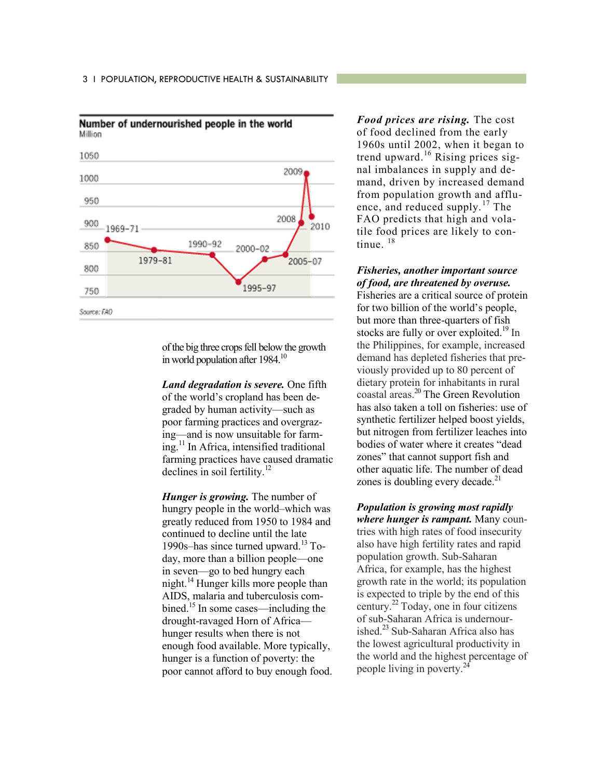

Number of undernourished people in the world Million

> of the big three crops fell below the growth in world population after 1984.<sup>10</sup>

*Land degradation is severe.* One fifth of the world's cropland has been degraded by human activity—such as poor farming practices and overgrazing—and is now unsuitable for farming.<sup>11</sup> In Africa, intensified traditional farming practices have caused dramatic declines in soil fertility.<sup>12</sup>

*Hunger is growing.* The number of hungry people in the world–which was greatly reduced from 1950 to 1984 and continued to decline until the late 1990s–has since turned upward. $13$  Today, more than a billion people—one in seven—go to bed hungry each night.<sup>14</sup> Hunger kills more people than AIDS, malaria and tuberculosis combined.<sup>15</sup> In some cases—including the drought-ravaged Horn of Africa hunger results when there is not enough food available. More typically, hunger is a function of poverty: the poor cannot afford to buy enough food.

*Food prices are rising.* The cost of food declined from the early 1960s until 2002, when it began to trend upward.<sup>16</sup> Rising prices signal imbalances in supply and demand, driven by increased demand from population growth and affluence, and reduced supply.<sup>17</sup> The FAO predicts that high and volatile food prices are likely to continue.<sup>18</sup>

#### *Fisheries, another important source of food, are threatened by overuse.*

Fisheries are a critical source of protein for two billion of the world's people, but more than three-quarters of fish stocks are fully or over exploited.<sup>19</sup> In the Philippines, for example, increased demand has depleted fisheries that previously provided up to 80 percent of dietary protein for inhabitants in rural coastal areas.<sup>20</sup> The Green Revolution has also taken a toll on fisheries: use of synthetic fertilizer helped boost yields, but nitrogen from fertilizer leaches into bodies of water where it creates "dead zones" that cannot support fish and other aquatic life. The number of dead zones is doubling every decade.<sup>21</sup>

*Population is growing most rapidly where hunger is rampant.* Many countries with high rates of food insecurity also have high fertility rates and rapid population growth. Sub-Saharan Africa, for example, has the highest growth rate in the world; its population is expected to triple by the end of this century.<sup>22</sup> Today, one in four citizens of sub-Saharan Africa is undernourished. $^{23}$  Sub-Saharan Africa also has the lowest agricultural productivity in the world and the highest percentage of people living in poverty.<sup>24</sup>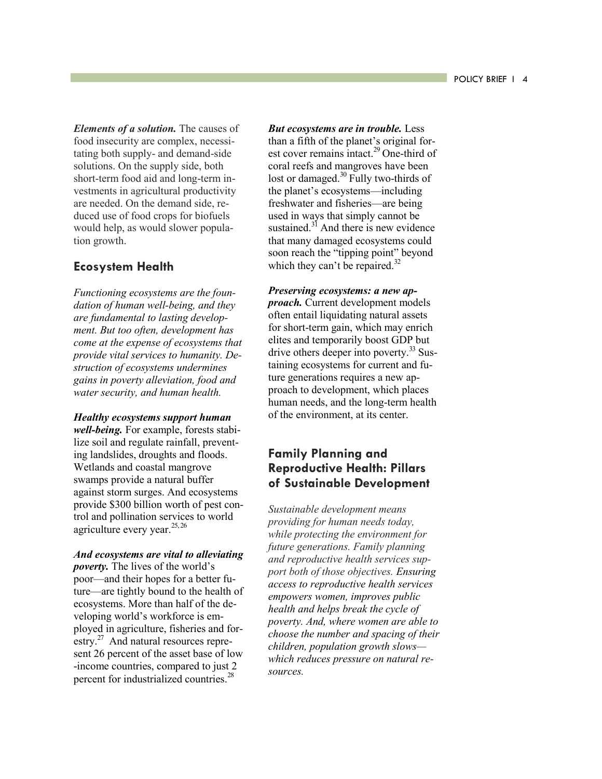*Elements of a solution.* The causes of food insecurity are complex, necessitating both supply- and demand-side solutions. On the supply side, both short-term food aid and long-term investments in agricultural productivity are needed. On the demand side, reduced use of food crops for biofuels would help, as would slower population growth.

## **Ecosystem Health**

*Functioning ecosystems are the foundation of human well-being, and they are fundamental to lasting development. But too often, development has come at the expense of ecosystems that provide vital services to humanity. Destruction of ecosystems undermines gains in poverty alleviation, food and water security, and human health.* 

*Healthy ecosystems support human well-being.* For example, forests stabilize soil and regulate rainfall, preventing landslides, droughts and floods. Wetlands and coastal mangrove swamps provide a natural buffer against storm surges. And ecosystems provide \$300 billion worth of pest control and pollination services to world agriculture every year.  $25, 26$ 

*And ecosystems are vital to alleviating poverty.* The lives of the world's poor—and their hopes for a better future—are tightly bound to the health of ecosystems. More than half of the developing world's workforce is employed in agriculture, fisheries and forestry.<sup>27</sup> And natural resources represent 26 percent of the asset base of low -income countries, compared to just 2 percent for industrialized countries.<sup>28</sup>

*But ecosystems are in trouble.* Less than a fifth of the planet's original forest cover remains intact.<sup>29</sup> One-third of coral reefs and mangroves have been lost or damaged.<sup>30</sup> Fully two-thirds of the planet's ecosystems—including freshwater and fisheries—are being used in ways that simply cannot be sustained. $3<sup>1</sup>$  And there is new evidence that many damaged ecosystems could soon reach the "tipping point" beyond which they can't be repaired.<sup>32</sup>

*Preserving ecosystems: a new approach.* Current development models often entail liquidating natural assets for short-term gain, which may enrich elites and temporarily boost GDP but drive others deeper into poverty.<sup>33</sup> Sustaining ecosystems for current and future generations requires a new approach to development, which places human needs, and the long-term health of the environment, at its center.

## **Family Planning and Reproductive Health: Pillars of Sustainable Development**

*Sustainable development means providing for human needs today, while protecting the environment for future generations. Family planning and reproductive health services support both of those objectives. Ensuring access to reproductive health services empowers women, improves public health and helps break the cycle of poverty. And, where women are able to choose the number and spacing of their children, population growth slows which reduces pressure on natural resources.*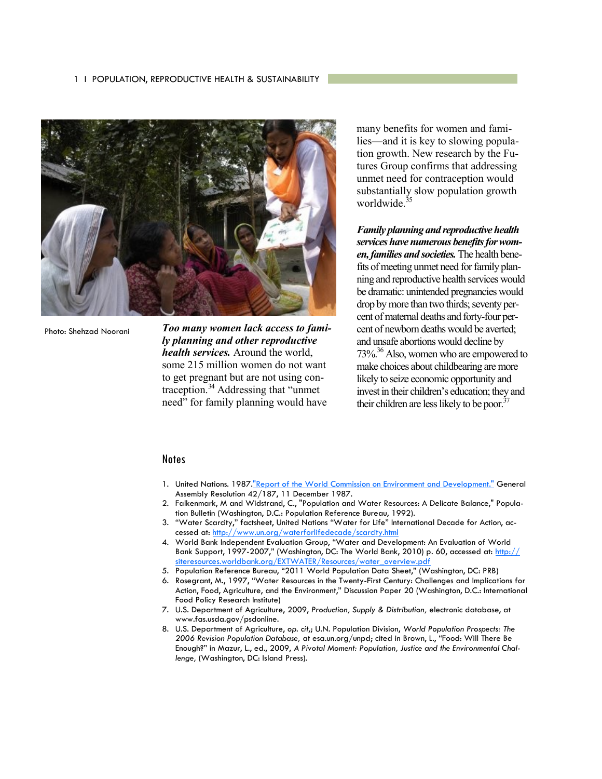#### 1 I POPULATION, REPRODUCTIVE HEALTH & SUSTAINABILITY



Photo: Shehzad Noorani

*Too many women lack access to family planning and other reproductive health services.* Around the world, some 215 million women do not want to get pregnant but are not using contraception. $34$  Addressing that "unmet" need" for family planning would have

many benefits for women and families—and it is key to slowing population growth. New research by the Futures Group confirms that addressing unmet need for contraception would substantially slow population growth worldwide.<sup>35</sup>

*Family planning and reproductive health services have numerous benefits for women, families and societies.* The health benefits of meeting unmet need for family planning and reproductive health services would be dramatic: unintended pregnancies would drop by more than two thirds; seventy percent of maternal deaths and forty-four percent of newborn deaths would be averted; and unsafe abortions would decline by  $73\%$ <sup>36</sup> Also, women who are empowered to make choices about childbearing are more likely to seize economic opportunity and invest in their children's education; they and their children are less likely to be poor. $37$ 

#### **Notes**

- 1. United Nations. 1987[."Report of the World Commission on Environment and Development."](http://www.un.org/documents/ga/res/42/ares42-187.htm) General Assembly Resolution 42/187, 11 December 1987.
- 2. Falkenmark, M and Widstrand, C., "Population and Water Resources: A Delicate Balance," Population Bulletin (Washington, D.C.: Population Reference Bureau, 1992).
- 3. "Water Scarcity," factsheet, United Nations "Water for Life" International Decade for Action, accessed at:<http://www.un.org/waterforlifedecade/scarcity.html>
- 4. World Bank Independent Evaluation Group, "Water and Development: An Evaluation of World Bank Support, 1997-2007," (Washington, DC: The World Bank, 2010) p. 60, accessed at: [http://](http://siteresources.worldbank.org/EXTWATER/Resources/water_overview.pdf) [siteresources.worldbank.org/EXTWATER/Resources/water\\_overview.pdf](http://siteresources.worldbank.org/EXTWATER/Resources/water_overview.pdf)
- 5. Population Reference Bureau, "2011 World Population Data Sheet," (Washington, DC: PRB)
- 6. Rosegrant, M., 1997, "Water Resources in the Twenty-First Century: Challenges and Implications for Action, Food, Agriculture, and the Environment," Discussion Paper 20 (Washington, D.C.: International Food Policy Research Institute)
- 7. U.S. Department of Agriculture, 2009, *Production, Supply & Distribution,* electronic database, at www.fas.usda.gov/psdonline.
- 8. U.S. Department of Agriculture, *op. cit*,; U.N. Population Division, *World Population Prospects: The 2006 Revision Population Database,* at esa.un.org/unpd; cited in Brown, L., "Food: Will There Be Enough?" in Mazur, L., ed., 2009, *A Pivotal Moment: Population, Justice and the Environmental Challenge,* (Washington, DC: Island Press).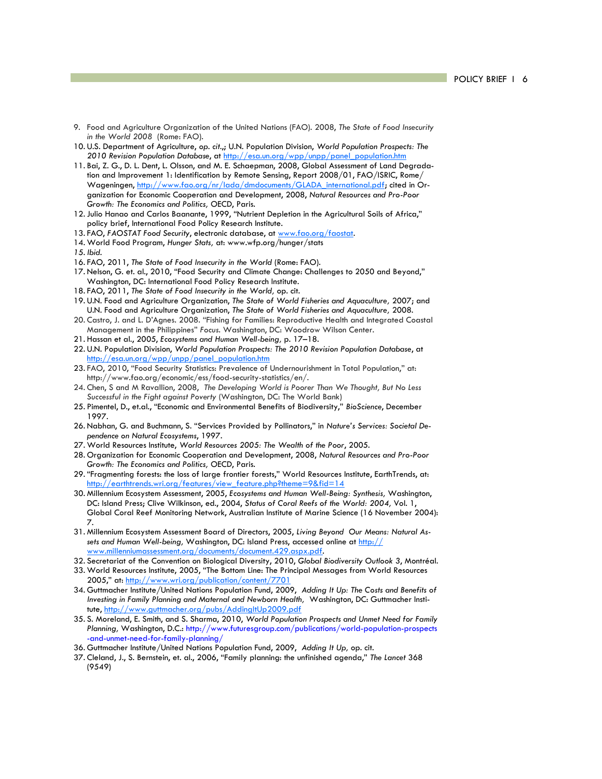- 9. Food and Agriculture Organization of the United Nations (FAO). 2008, *The State of Food Insecurity in the World 2008* (Rome: FAO).
- 10. U.S. Department of Agriculture, *op. cit.*,; U.N. Population Division, *World Population Prospects: The 2010 Revision Population Database*, at [http://esa.un.org/wpp/unpp/panel\\_population.htm](http://esa.un.org/wpp/unpp/panel_population.htm)
- 11. Bai, Z. G., D. L. Dent, L. Olsson, and M. E. Schaepman, 2008, Global Assessment of Land Degradation and Improvement 1: Identification by Remote Sensing, Report 2008/01, FAO/ISRIC, Rome/ Wageningen, [http://www.fao.org/nr/lada/dmdocuments/GLADA\\_international.pdf;](http://www.fao.org/nr/lada/dmdocuments/GLADA_international.pdf) cited in Organization for Economic Cooperation and Development, 2008, *Natural Resources and Pro-Poor Growth: The Economics and Politics,* OECD, Paris.
- 12. Julio Hanao and Carlos Baanante, 1999, "Nutrient Depletion in the Agricultural Soils of Africa," policy brief, International Food Policy Research Institute.
- 13. FAO, *FAOSTAT Food Security*, electronic database, at [www.fao.org/faostat.](http://www.fao.org/faostat)
- 14. World Food Program, *Hunger Stats,* at: www.wfp.org/hunger/stats
- *15. Ibid.*
- 16. FAO, 2011, *The State of Food Insecurity in the World* (Rome: FAO).
- 17. Nelson, G. et. al., 2010, "Food Security and Climate Change: Challenges to 2050 and Beyond," Washington, DC: International Food Policy Research Institute.
- 18. FAO, 2011, *The State of Food Insecurity in the World,* op. cit.
- 19. U.N. Food and Agriculture Organization, *The State of World Fisheries and Aquaculture,* 2007; and U.N. Food and Agriculture Organization, *The State of World Fisheries and Aquaculture,* 2008.
- 20. Castro, J. and L. D'Agnes. 2008. "Fishing for Families: Reproductive Health and Integrated Coastal Management in the Philippines" *Focus*. Washington, DC: Woodrow Wilson Center.
- 21. Hassan et al., 2005, *Ecosystems and Human Well-being,* p. 17–18.
- 22. U.N. Population Division, *World Population Prospects: The 2010 Revision Population Database*, at [http://esa.un.org/wpp/unpp/panel\\_population.htm](http://esa.un.org/wpp/unpp/panel_population.htm)
- 23. FAO, 2010, "Food Security Statistics: Prevalence of Undernourishment in Total Population," at: http://www.fao.org/economic/ess/food-security-statistics/en/.
- 24. Chen, S and M Ravallion, 2008, *The Developing World is Poorer Than We Thought, But No Less Successful in the Fight against Poverty* (Washington, DC: The World Bank)
- 25. Pimentel, D., et.al., "Economic and Environmental Benefits of Biodiversity," *BioScience*, December 1997.
- 26. Nabhan, G. and Buchmann, S. "Services Provided by Pollinators," in *Nature's Services: Societal Dependence on Natural Ecosystems*, 1997.
- 27. World Resources Institute, *World Resources 2005: The Wealth of the Poor*, 2005.
- 28. Organization for Economic Cooperation and Development, 2008, *Natural Resources and Pro-Poor Growth: The Economics and Politics,* OECD, Paris.
- 29. "Fragmenting forests: the loss of large frontier forests," World Resources Institute, EarthTrends, at: [http://earthtrends.wri.org/features/view\\_feature.php?theme=9&fid=14](http://earthtrends.wri.org/features/view_feature.php?theme=9&fid=14)
- 30. Millennium Ecosystem Assessment, 2005, *Ecosystems and Human Well-Being: Synthesis,* Washington, DC: Island Press; Clive Wilkinson, ed., 2004, *Status of Coral Reefs of the World: 2004,* Vol. 1, Global Coral Reef Monitoring Network, Australian Institute of Marine Science (16 November 2004): 7.
- 31. Millennium Ecosystem Assessment Board of Directors, 2005, *Living Beyond Our Means: Natural Assets and Human Well-being,* Washington, DC: Island Press, accessed online at [http://](http://www.millenniumassessment.org/documents/document.429.aspx.pdf) [www.millenniumassessment.org/documents/document.429.aspx.pdf.](http://www.millenniumassessment.org/documents/document.429.aspx.pdf)
- 32. Secretariat of the Convention on Biological Diversity, 2010, *Global Biodiversity Outlook 3*, Montréal.
- 33. World Resources Institute, 2005, "The Bottom Line: The Principal Messages from World Resources 2005," at: <http://www.wri.org/publication/content/7701>
- 34. Guttmacher Institute/United Nations Population Fund, 2009, *Adding It Up: The Costs and Benefits of Investing in Family Planning and Maternal and Newborn Health,* Washington, DC: Guttmacher Institute,<http://www.guttmacher.org/pubs/AddingItUp2009.pdf>
- 35. S. Moreland, E. Smith, and S. Sharma, 2010, *World Population Prospects and Unmet Need for Family Planning,* Washington, D.C.: http://www.futuresgroup.com/publications/world-population-prospects -and-unmet-need-for-family-planning/
- 36. Guttmacher Institute/United Nations Population Fund, 2009, *Adding It Up,* op. cit.
- 37. Cleland, J., S. Bernstein, et. al., 2006, "Family planning: the unfinished agenda," *The Lancet* 368 (9549)